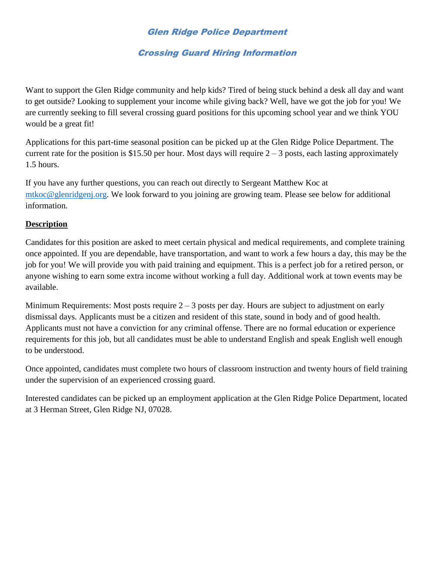#### Glen Ridge Police Department

#### Crossing Guard Hiring Information

Want to support the Glen Ridge community and help kids? Tired of being stuck behind a desk all day and want to get outside? Looking to supplement your income while giving back? Well, have we got the job for you! We are currently seeking to fill several crossing guard positions for this upcoming school year and we think YOU would be a great fit!

Applications for this part-time seasonal position can be picked up at the Glen Ridge Police Department. The current rate for the position is \$15.50 per hour. Most days will require  $2 - 3$  posts, each lasting approximately 1.5 hours.

If you have any further questions, you can reach out directly to Sergeant Matthew Koc at [mtkoc@glenridgenj.org.](mailto:mtkoc@glenridgenj.org) We look forward to you joining are growing team. Please see below for additional information.

#### **Description**

Candidates for this position are asked to meet certain physical and medical requirements, and complete training once appointed. If you are dependable, have transportation, and want to work a few hours a day, this may be the job for you! We will provide you with paid training and equipment. This is a perfect job for a retired person, or anyone wishing to earn some extra income without working a full day. Additional work at town events may be available.

Minimum Requirements: Most posts require  $2 - 3$  posts per day. Hours are subject to adjustment on early dismissal days. Applicants must be a citizen and resident of this state, sound in body and of good health. Applicants must not have a conviction for any criminal offense. There are no formal education or experience requirements for this job, but all candidates must be able to understand English and speak English well enough to be understood.

Once appointed, candidates must complete two hours of classroom instruction and twenty hours of field training under the supervision of an experienced crossing guard.

Interested candidates can be picked up an employment application at the Glen Ridge Police Department, located at 3 Herman Street, Glen Ridge NJ, 07028.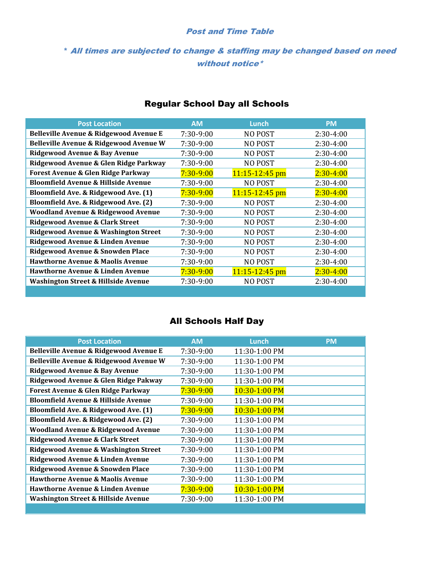#### Post and Time Table

#### \* All times are subjected to change & staffing may be changed based on need without notice\*

| <b>Post Location</b>                           | <b>AM</b>     | Lunch              | <b>PM</b>     |
|------------------------------------------------|---------------|--------------------|---------------|
| Belleville Avenue & Ridgewood Avenue E         | 7:30-9:00     | NO POST            | $2:30-4:00$   |
| Belleville Avenue & Ridgewood Avenue W         | 7:30-9:00     | <b>NO POST</b>     | $2:30-4:00$   |
| Ridgewood Avenue & Bay Avenue                  | 7:30-9:00     | <b>NO POST</b>     | $2:30-4:00$   |
| Ridgewood Avenue & Glen Ridge Parkway          | 7:30-9:00     | <b>NO POST</b>     | $2:30-4:00$   |
| Forest Avenue & Glen Ridge Parkway             | $7:30 - 9:00$ | $11:15 - 12:45$ pm | $2:30 - 4:00$ |
| <b>Bloomfield Avenue &amp; Hillside Avenue</b> | 7:30-9:00     | <b>NO POST</b>     | $2:30-4:00$   |
| Bloomfield Ave. & Ridgewood Ave. (1)           | $7:30 - 9:00$ | $11:15 - 12:45$ pm | $2:30 - 4:00$ |
| Bloomfield Ave. & Ridgewood Ave. (2)           | 7:30-9:00     | <b>NO POST</b>     | $2:30-4:00$   |
| <b>Woodland Avenue &amp; Ridgewood Avenue</b>  | 7:30-9:00     | <b>NO POST</b>     | $2:30-4:00$   |
| <b>Ridgewood Avenue &amp; Clark Street</b>     | $7:30-9:00$   | NO POST            | $2:30-4:00$   |
| Ridgewood Avenue & Washington Street           | $7:30-9:00$   | NO POST            | $2:30-4:00$   |
| Ridgewood Avenue & Linden Avenue               | 7:30-9:00     | <b>NO POST</b>     | $2:30-4:00$   |
| Ridgewood Avenue & Snowden Place               | 7:30-9:00     | <b>NO POST</b>     | $2:30-4:00$   |
| <b>Hawthorne Avenue &amp; Maolis Avenue</b>    | $7:30-9:00$   | NO POST            | $2:30-4:00$   |
| <b>Hawthorne Avenue &amp; Linden Avenue</b>    | $7:30 - 9:00$ | $11:15 - 12:45$ pm | $2:30 - 4:00$ |
| Washington Street & Hillside Avenue            | 7:30-9:00     | NO POST            | 2:30-4:00     |
|                                                |               |                    |               |

# Regular School Day all Schools

# All Schools Half Day

| <b>AM</b>     | Lunch           | <b>PM</b> |
|---------------|-----------------|-----------|
| 7:30-9:00     | 11:30-1:00 PM   |           |
| $7:30-9:00$   | 11:30-1:00 PM   |           |
| $7:30-9:00$   | 11:30-1:00 PM   |           |
| $7:30-9:00$   | 11:30-1:00 PM   |           |
| $7:30 - 9:00$ | 10:30-1:00 PM   |           |
| $7:30-9:00$   | 11:30-1:00 PM   |           |
| $7:30-9:00$   | $10:30-1:00$ PM |           |
| 7:30-9:00     | 11:30-1:00 PM   |           |
| 7:30-9:00     | 11:30-1:00 PM   |           |
| $7:30-9:00$   | 11:30-1:00 PM   |           |
| $7:30-9:00$   | 11:30-1:00 PM   |           |
| 7:30-9:00     | 11:30-1:00 PM   |           |
| $7:30-9:00$   | 11:30-1:00 PM   |           |
| 7:30-9:00     | 11:30-1:00 PM   |           |
| $7:30-9:00$   | 10:30-1:00 PM   |           |
| 7:30-9:00     | 11:30-1:00 PM   |           |
|               |                 |           |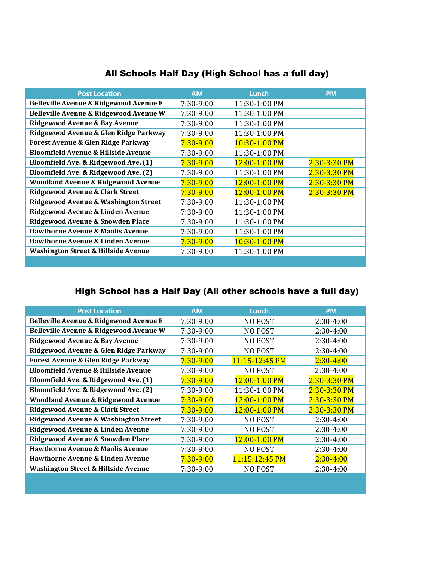| <b>Post Location</b>                            | <b>AM</b>     | Lunch         | <b>PM</b>        |
|-------------------------------------------------|---------------|---------------|------------------|
| Belleville Avenue & Ridgewood Avenue E          | $7:30-9:00$   | 11:30-1:00 PM |                  |
| Belleville Avenue & Ridgewood Avenue W          | 7:30-9:00     | 11:30-1:00 PM |                  |
| Ridgewood Avenue & Bay Avenue                   | 7:30-9:00     | 11:30-1:00 PM |                  |
| Ridgewood Avenue & Glen Ridge Parkway           | 7:30-9:00     | 11:30-1:00 PM |                  |
| <b>Forest Avenue &amp; Glen Ridge Parkway</b>   | $7:30-9:00$   | 10:30-1:00 PM |                  |
| <b>Bloomfield Avenue &amp; Hillside Avenue</b>  | 7:30-9:00     | 11:30-1:00 PM |                  |
| Bloomfield Ave. & Ridgewood Ave. (1)            | $7:30 - 9:00$ | 12:00-1:00 PM | $2:30 - 3:30$ PM |
| Bloomfield Ave. & Ridgewood Ave. (2)            | $7:30-9:00$   | 11:30-1:00 PM | $2:30-3:30$ PM   |
| <b>Woodland Avenue &amp; Ridgewood Avenue</b>   | $7:30 - 9:00$ | 12:00-1:00 PM | $2:30 - 3:30$ PM |
| Ridgewood Avenue & Clark Street                 | $7:30-9:00$   | 12:00-1:00 PM | $2:30-3:30$ PM   |
| <b>Ridgewood Avenue &amp; Washington Street</b> | 7:30-9:00     | 11:30-1:00 PM |                  |
| Ridgewood Avenue & Linden Avenue                | 7:30-9:00     | 11:30-1:00 PM |                  |
| Ridgewood Avenue & Snowden Place                | 7:30-9:00     | 11:30-1:00 PM |                  |
| <b>Hawthorne Avenue &amp; Maolis Avenue</b>     | 7:30-9:00     | 11:30-1:00 PM |                  |
| Hawthorne Avenue & Linden Avenue                | $7:30-9:00$   | 10:30-1:00 PM |                  |
| <b>Washington Street &amp; Hillside Avenue</b>  | $7:30-9:00$   | 11:30-1:00 PM |                  |
|                                                 |               |               |                  |

# All Schools Half Day (High School has a full day)

# High School has a Half Day (All other schools have a full day)

| <b>Post Location</b>                           | <b>AM</b>     | Lunch           | <b>PM</b>        |
|------------------------------------------------|---------------|-----------------|------------------|
| Belleville Avenue & Ridgewood Avenue E         | 7:30-9:00     | <b>NO POST</b>  | $2:30-4:00$      |
| Belleville Avenue & Ridgewood Avenue W         | 7:30-9:00     | <b>NO POST</b>  | $2:30-4:00$      |
| Ridgewood Avenue & Bay Avenue                  | 7:30-9:00     | <b>NO POST</b>  | $2:30-4:00$      |
| Ridgewood Avenue & Glen Ridge Parkway          | $7:30-9:00$   | <b>NO POST</b>  | $2:30-4:00$      |
| Forest Avenue & Glen Ridge Parkway             | $7:30-9:00$   | 11:15-12:45 PM  | $2:30 - 4:00$    |
| <b>Bloomfield Avenue &amp; Hillside Avenue</b> | 7:30-9:00     | NO POST         | $2:30-4:00$      |
| Bloomfield Ave. & Ridgewood Ave. (1)           | $7:30-9:00$   | 12:00-1:00 PM   | $2:30-3:30$ PM   |
| Bloomfield Ave. & Ridgewood Ave. (2)           | 7:30-9:00     | 11:30-1:00 PM   | $2:30-3:30$ PM   |
| <b>Woodland Avenue &amp; Ridgewood Avenue</b>  | $7:30 - 9:00$ | 12:00-1:00 PM   | $2:30-3:30$ PM   |
| <b>Ridgewood Avenue &amp; Clark Street</b>     | $7:30-9:00$   | $12:00-1:00$ PM | $2:30 - 3:30$ PM |
| Ridgewood Avenue & Washington Street           | 7:30-9:00     | <b>NO POST</b>  | $2:30-4:00$      |
| Ridgewood Avenue & Linden Avenue               | 7:30-9:00     | NO POST         | $2:30-4:00$      |
| Ridgewood Avenue & Snowden Place               | 7:30-9:00     | 12:00-1:00 PM   | $2:30-4:00$      |
| <b>Hawthorne Avenue &amp; Maolis Avenue</b>    | 7:30-9:00     | <b>NO POST</b>  | $2:30-4:00$      |
| <b>Hawthorne Avenue &amp; Linden Avenue</b>    | $7:30-9:00$   | 11:15:12:45 PM  | $2:30 - 4:00$    |
| <b>Washington Street &amp; Hillside Avenue</b> | 7:30-9:00     | <b>NO POST</b>  | $2:30-4:00$      |
|                                                |               |                 |                  |